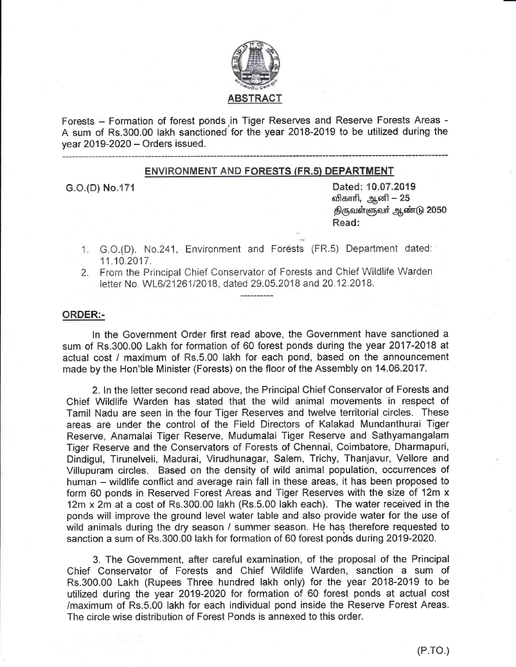

Forests - Formation of forest ponds in Tiger Reserves and Reserve Forests Areas -A sum of Rs.300.00 lakh sanctioned for the year 2018-2019 to be utilized during the vear 2019-2020 - Orders issued.

### **ENVIRONMENT AND FORESTS (FR.5) DEPARTMENT**

G.O.(D) No.171

Dated: 10.07.2019 விகாரி, ஆனி – 25 திருவள்ளுவா் ஆண்டு 2050 Read:

- 1. G.O.(D). No.241, Environment and Forests (FR.5) Department dated: 11.10.2017.
- 2. From the Principal Chief Conservator of Forests and Chief Wildlife Warden letter No. WL6/21261/2018, dated 29.05.2018 and 20.12.2018.

### **ORDER:-**

In the Government Order first read above, the Government have sanctioned a sum of Rs.300.00 Lakh for formation of 60 forest ponds during the year 2017-2018 at actual cost / maximum of Rs.5.00 lakh for each pond, based on the announcement made by the Hon'ble Minister (Forests) on the floor of the Assembly on 14.06.2017.

2. In the letter second read above, the Principal Chief Conservator of Forests and Chief Wildlife Warden has stated that the wild animal movements in respect of Tamil Nadu are seen in the four Tiger Reserves and twelve territorial circles. These areas are under the control of the Field Directors of Kalakad Mundanthurai Tiger Reserve, Anamalai Tiger Reserve, Mudumalai Tiger Reserve and Sathyamangalam Tiger Reserve and the Conservators of Forests of Chennai, Coimbatore, Dharmapuri, Dindigul, Tirunelveli, Madurai, Virudhunagar, Salem, Trichy, Thanjavur, Vellore and Villupuram circles. Based on the density of wild animal population, occurrences of human – wildlife conflict and average rain fall in these areas, it has been proposed to form 60 ponds in Reserved Forest Areas and Tiger Reserves with the size of 12m x 12m x 2m at a cost of Rs.300.00 lakh (Rs.5.00 lakh each). The water received in the ponds will improve the ground level water table and also provide water for the use of wild animals during the dry season / summer season. He has therefore requested to sanction a sum of Rs.300.00 lakh for formation of 60 forest ponds during 2019-2020.

3. The Government, after careful examination, of the proposal of the Principal Chief Conservator of Forests and Chief Wildlife Warden, sanction a sum of Rs.300.00 Lakh (Rupees Three hundred lakh only) for the year 2018-2019 to be utilized during the year 2019-2020 for formation of 60 forest ponds at actual cost /maximum of Rs.5.00 lakh for each individual pond inside the Reserve Forest Areas. The circle wise distribution of Forest Ponds is annexed to this order.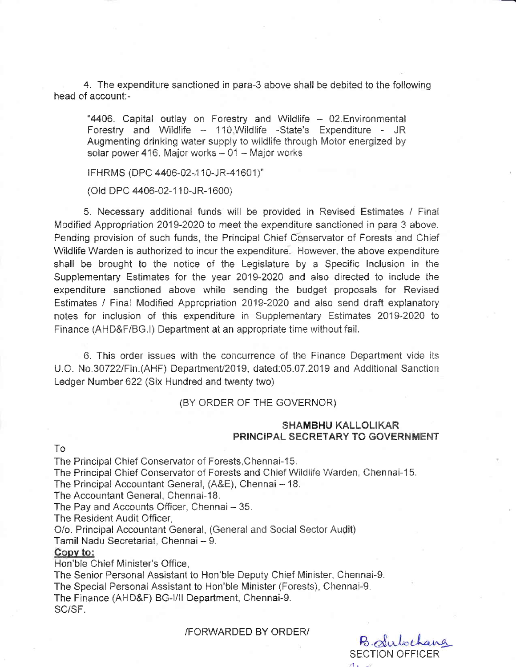4. The expenditure sanctioned in para-3 above shall be debited to the following head of account:-

"4406. Capital outlay on Forestry and Wildlife - 02. Environmental Forestry and Wildlife - 110. Wildlife -State's Expenditure - JR Augmenting drinking water supply to wildlife through Motor energized by solar power 416. Major works - 01 - Major works

IFHRMS (DPC 4406-02-110-JR-41601)"

(Old DPC 4406-02-110-JR-1600)

5. Necessary additional funds will be provided in Revised Estimates / Final Modified Appropriation 2019-2020 to meet the expenditure sanctioned in para 3 above. Pending provision of such funds, the Principal Chief Conservator of Forests and Chief Wildlife Warden is authorized to incur the expenditure. However, the above expenditure shall be brought to the notice of the Legislature by a Specific Inclusion in the Supplementary Estimates for the year 2019-2020 and also directed to include the expenditure sanctioned above while sending the budget proposals for Revised Estimates / Final Modified Appropriation 2019-2020 and also send draft explanatory notes for inclusion of this expenditure in Supplementary Estimates 2019-2020 to Finance (AHD&F/BG.I) Department at an appropriate time without fail.

6. This order issues with the concurrence of the Finance Department vide its U.O. No.30722/Fin.(AHF) Department/2019, dated:05.07.2019 and Additional Sanction Ledger Number 622 (Six Hundred and twenty two)

(BY ORDER OF THE GOVERNOR)

## **SHAMBHU KALLOLIKAR PRINCIPAL SECRETARY TO GOVERNMENT**

#### $To$

The Principal Chief Conservator of Forests, Chennai-15. The Principal Chief Conservator of Forests and Chief Wildlife Warden, Chennai-15. The Principal Accountant General, (A&E), Chennai - 18. The Accountant General, Chennai-18. The Pay and Accounts Officer, Chennai - 35. The Resident Audit Officer.

O/o. Principal Accountant General, (General and Social Sector Audit)

Tamil Nadu Secretariat, Chennai - 9.

#### Copy to:

Hon'ble Chief Minister's Office.

The Senior Personal Assistant to Hon'ble Deputy Chief Minister, Chennai-9. The Special Personal Assistant to Hon'ble Minister (Forests), Chennai-9. The Finance (AHD&F) BG-I/II Department, Chennai-9. SC/SF.

**/FORWARDED BY ORDER/** 

B. Suloch **SECTION OFFICER**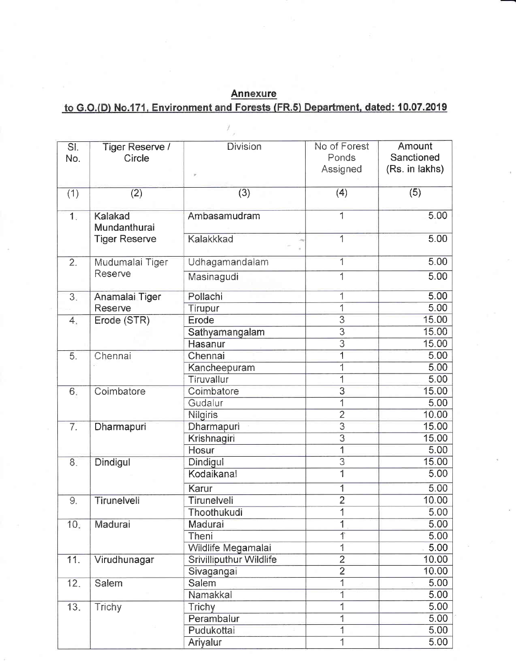# **Annexure** to G.O.(D) No.171, Environment and Forests (FR.5) Department, dated: 10.07.2019

| SI.<br>No.       | Tiger Reserve /<br>Circle                       | <b>Division</b>                | No of Forest<br>Ponds<br>Assigned | Amount<br>Sanctioned<br>(Rs. in lakhs) |  |  |
|------------------|-------------------------------------------------|--------------------------------|-----------------------------------|----------------------------------------|--|--|
| (1)              | (2)                                             | (3)                            | (4)                               | (5)                                    |  |  |
| $\overline{1}$ . | Kalakad<br>Mundanthurai<br><b>Tiger Reserve</b> | Ambasamudram                   | $\mathbf{1}$                      | 5.00                                   |  |  |
|                  |                                                 | Kalakkkad                      | 1                                 | 5.00                                   |  |  |
| $\overline{2}$ . | Mudumalai Tiger<br>Reserve                      | Udhagamandalam                 | 1                                 | 5.00                                   |  |  |
|                  |                                                 | Masinagudi                     | 1                                 | 5.00                                   |  |  |
| $\overline{3}$ . | Anamalai Tiger<br><b>Reserve</b>                | Pollachi                       | 1                                 | 5.00                                   |  |  |
|                  |                                                 | Tirupur                        | 1                                 | 5.00                                   |  |  |
| 4.               | Erode (STR)                                     | Erode                          | $\overline{\mathcal{S}}$          | 15.00                                  |  |  |
|                  |                                                 | Sathyamangalam                 | $\overline{\overline{3}}$         | 15.00                                  |  |  |
|                  |                                                 | <b>Hasanur</b>                 | $\overline{3}$                    | 15.00                                  |  |  |
| 5.               | Chennai                                         | Chennai                        | 1                                 | 5.00                                   |  |  |
|                  |                                                 | Kancheepuram                   | 1                                 | 5.00                                   |  |  |
|                  |                                                 | Tiruvallur                     | 1                                 | 5.00                                   |  |  |
| 6.               | Coimbatore                                      | Coimbatore                     | $\overline{\mathbf{3}}$           | 15.00                                  |  |  |
|                  |                                                 | Gudalur                        | 1                                 | 5.00                                   |  |  |
|                  |                                                 | Nilgiris                       | $\overline{2}$                    | 10.00                                  |  |  |
| 7.               | Dharmapuri                                      | Dharmapuri                     | $\overline{3}$                    | 15.00                                  |  |  |
|                  |                                                 | Krishnagiri                    | 3                                 | 15.00                                  |  |  |
|                  |                                                 | Hosur                          | 1                                 | 5.00                                   |  |  |
| 8.               | Dindigul                                        | Dindigul                       | 3                                 | 15.00                                  |  |  |
|                  |                                                 | Kodaikanal                     | 1                                 | 5.00                                   |  |  |
|                  |                                                 | Karur                          | 1                                 | 5.00                                   |  |  |
| 9.               | Tirunelveli                                     | Tirunelveli                    | $\overline{2}$                    | 10.00                                  |  |  |
|                  |                                                 | Thoothukudi                    | 1                                 | 5.00                                   |  |  |
| 10.              | Madurai                                         | Madurai                        | 1                                 | 5.00                                   |  |  |
|                  |                                                 | Theni                          | 1                                 | 5.00                                   |  |  |
|                  |                                                 | Wildlife Megamalai             | 1                                 | 5.00                                   |  |  |
| 11.              | Virudhunagar                                    | <b>Srivilliputhur Wildlife</b> | $\overline{2}$                    | 10.00                                  |  |  |
|                  |                                                 | Sivagangai                     | $\overline{2}$                    | 10.00                                  |  |  |
| 12.              | Salem                                           | Salem                          | 1                                 | 5.00                                   |  |  |
|                  |                                                 | Namakkal                       | 1                                 | 5.00                                   |  |  |
| 13.              | Trichy                                          | <b>Trichy</b>                  | 1                                 | 5.00                                   |  |  |
|                  |                                                 | Perambalur                     | 1                                 | 5.00                                   |  |  |
|                  |                                                 | Pudukottai                     | 1                                 | 5.00                                   |  |  |
|                  |                                                 | Ariyalur                       | 1                                 | 5.00                                   |  |  |